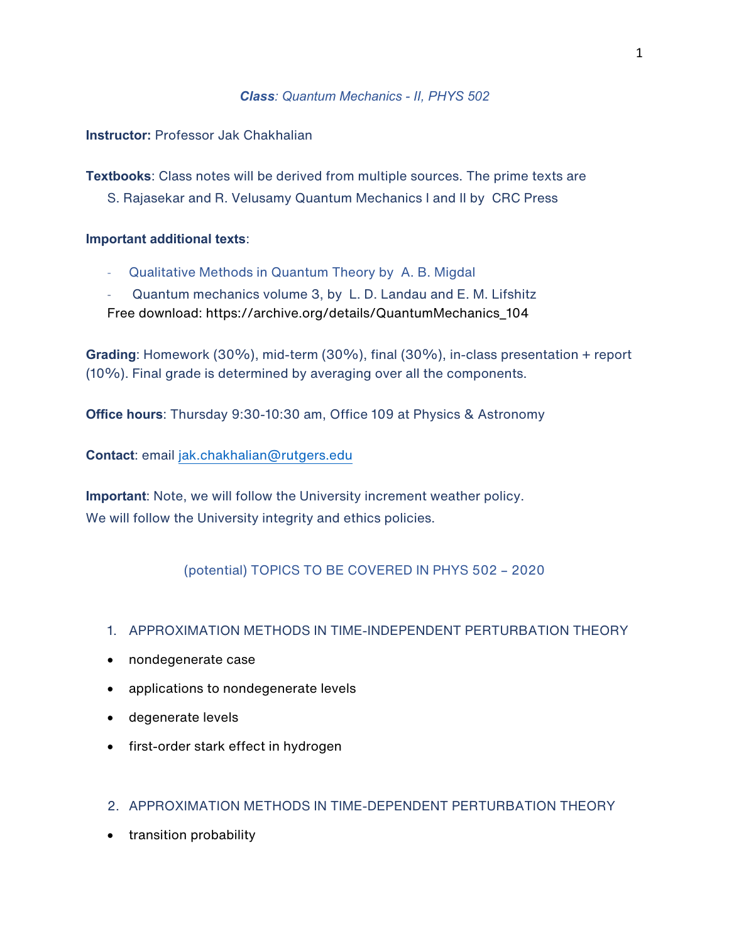# *Class: Quantum Mechanics - II, PHYS 502*

**Instructor:** Professor Jak Chakhalian

**Textbooks**: Class notes will be derived from multiple sources. The prime texts are S. Rajasekar and R. Velusamy Quantum Mechanics I and II by CRC Press

# **Important additional texts**:

- Qualitative Methods in Quantum Theory by A. B. Migdal
- Quantum mechanics volume 3, by L. D. Landau and E. M. Lifshitz Free download: https://archive.org/details/QuantumMechanics\_104

**Grading**: Homework (30%), mid-term (30%), final (30%), in-class presentation + report (10%). Final grade is determined by averaging over all the components.

**Office hours**: Thursday 9:30-10:30 am, Office 109 at Physics & Astronomy

**Contact**: email jak.chakhalian@rutgers.edu

**Important**: Note, we will follow the University increment weather policy. We will follow the University integrity and ethics policies.

(potential) TOPICS TO BE COVERED IN PHYS 502 – 2020

# 1. APPROXIMATION METHODS IN TIME-INDEPENDENT PERTURBATION THEORY

- nondegenerate case
- applications to nondegenerate levels
- degenerate levels
- first-order stark effect in hydrogen

# 2. APPROXIMATION METHODS IN TIME-DEPENDENT PERTURBATION THEORY

• transition probability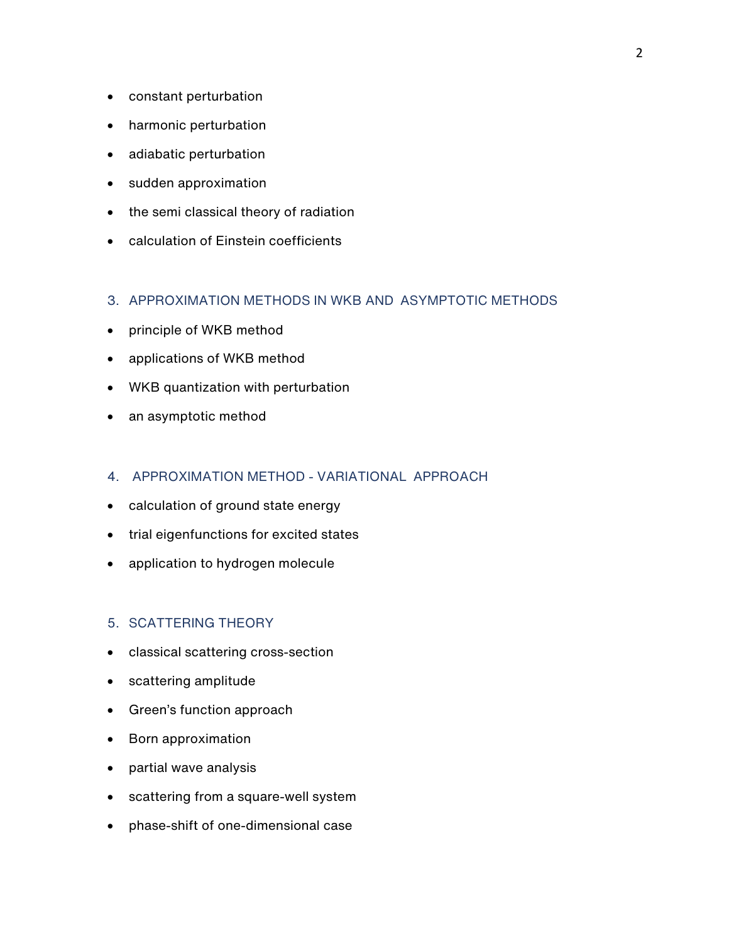- constant perturbation
- harmonic perturbation
- adiabatic perturbation
- sudden approximation
- the semi classical theory of radiation
- calculation of Einstein coefficients

#### 3. APPROXIMATION METHODS IN WKB AND ASYMPTOTIC METHODS

- principle of WKB method
- applications of WKB method
- WKB quantization with perturbation
- an asymptotic method

#### 4. APPROXIMATION METHOD - VARIATIONAL APPROACH

- calculation of ground state energy
- trial eigenfunctions for excited states
- application to hydrogen molecule

### 5. SCATTERING THEORY

- classical scattering cross-section
- scattering amplitude
- Green's function approach
- Born approximation
- partial wave analysis
- scattering from a square-well system
- phase-shift of one-dimensional case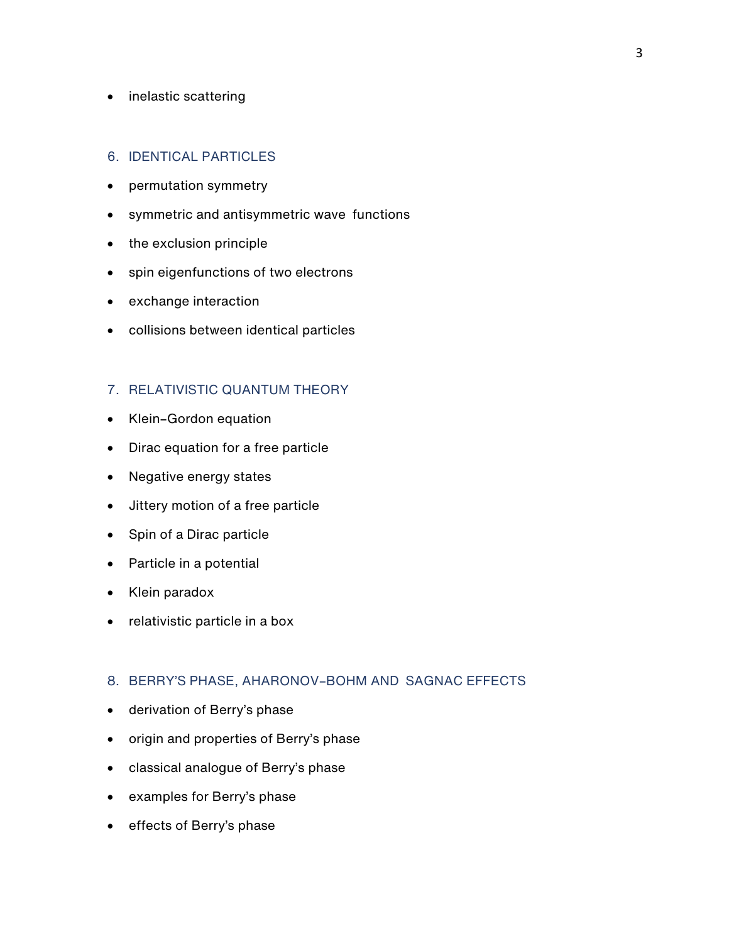#### • inelastic scattering

#### 6. IDENTICAL PARTICLES

- permutation symmetry
- symmetric and antisymmetric wave functions
- the exclusion principle
- spin eigenfunctions of two electrons
- exchange interaction
- collisions between identical particles

# 7. RELATIVISTIC QUANTUM THEORY

- Klein–Gordon equation
- Dirac equation for a free particle
- Negative energy states
- Jittery motion of a free particle
- Spin of a Dirac particle
- Particle in a potential
- Klein paradox
- relativistic particle in a box

# 8. BERRY'S PHASE, AHARONOV–BOHM AND SAGNAC EFFECTS

- derivation of Berry's phase
- origin and properties of Berry's phase
- classical analogue of Berry's phase
- examples for Berry's phase
- effects of Berry's phase